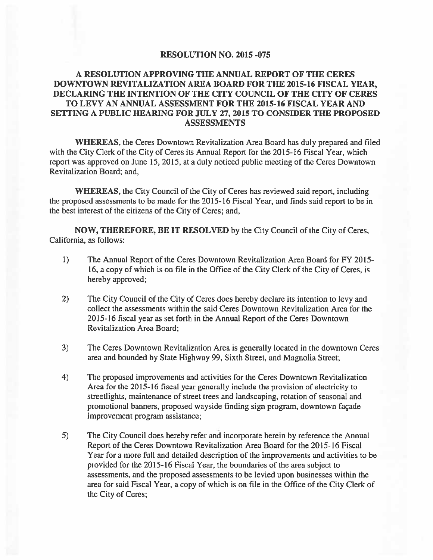#### **RESOLUTION NO. 2015 -075**

#### A RESOLUTION APPROVING THE ANNUAL REPORT OF THE CERES DOWNTOWN REVITALIZATION AREA BOARD FOR THE 2015-16 FISCAL YEAR. DECLARING THE INTENTION OF THE CITY COUNCIL OF THE CITY OF CERES TO LEVY AN ANNUAL ASSESSMENT FOR THE 2015-16 FISCAL YEAR AND SETTING A PUBLIC HEARING FOR JULY 27, 2015 TO CONSIDER THE PROPOSED **ASSESSMENTS**

WHEREAS, the Ceres Downtown Revitalization Area Board has duly prepared and filed with the City Clerk of the City of Ceres its Annual Report for the 2015-16 Fiscal Year, which report was approved on June 15, 2015, at a duly noticed public meeting of the Ceres Downtown Revitalization Board; and,

**WHEREAS**, the City Council of the City of Ceres has reviewed said report, including the proposed assessments to be made for the 2015-16 Fiscal Year, and finds said report to be in the best interest of the citizens of the City of Ceres; and,

NOW, THEREFORE, BE IT RESOLVED by the City Council of the City of Ceres, California, as follows:

- $\mathbf{I}$ The Annual Report of the Ceres Downtown Revitalization Area Board for FY 2015-16, a copy of which is on file in the Office of the City Clerk of the City of Ceres, is hereby approved;
- $2)$ The City Council of the City of Ceres does hereby declare its intention to levy and collect the assessments within the said Ceres Downtown Revitalization Area for the 2015-16 fiscal year as set forth in the Annual Report of the Ceres Downtown Revitalization Area Board:
- $3)$ The Ceres Downtown Revitalization Area is generally located in the downtown Ceres area and bounded by State Highway 99, Sixth Street, and Magnolia Street;
- $4)$ The proposed improvements and activities for the Ceres Downtown Revitalization Area for the 2015-16 fiscal year generally include the provision of electricity to streetlights, maintenance of street trees and landscaping, rotation of seasonal and promotional banners, proposed wayside finding sign program, downtown façade improvement program assistance;
- $5)$ The City Council does hereby refer and incorporate herein by reference the Annual Report of the Ceres Downtown Revitalization Area Board for the 2015-16 Fiscal Year for a more full and detailed description of the improvements and activities to be provided for the 2015-16 Fiscal Year, the boundaries of the area subject to assessments, and the proposed assessments to be levied upon businesses within the area for said Fiscal Year, a copy of which is on file in the Office of the City Clerk of the City of Ceres;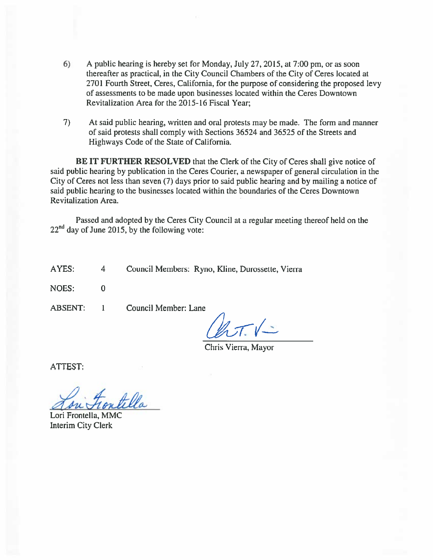- $6)$ A public hearing is hereby set for Monday, July 27, 2015, at 7:00 pm, or as soon thereafter as practical, in the City Council Chambers of the City of Ceres located at 2701 Fourth Street, Ceres, California, for the purpose of considering the proposed levy of assessments to be made upon businesses located within the Ceres Downtown Revitalization Area for the 2015-16 Fiscal Year:
- $7)$ At said public hearing, written and oral protests may be made. The form and manner of said protests shall comply with Sections 36524 and 36525 of the Streets and Highways Code of the State of California.

**BE IT FURTHER RESOLVED** that the Clerk of the City of Ceres shall give notice of said public hearing by publication in the Ceres Courier, a newspaper of general circulation in the City of Ceres not less than seven (7) days prior to said public hearing and by mailing a notice of said public hearing to the businesses located within the boundaries of the Ceres Downtown **Revitalization Area.** 

Passed and adopted by the Ceres City Council at a regular meeting thereof held on the  $22<sup>nd</sup>$  day of June 2015, by the following vote:

AYES: Council Members: Ryno, Kline, Durossette, Vierra  $\overline{4}$ 

**NOES:**  $\mathbf{0}$ 

**ABSENT:** 

Council Member: Lane  $\mathbf{1}$ 

Chris Vierra, Mayor

**ATTEST:** 

Lori Frontella, MMC Interim City Clerk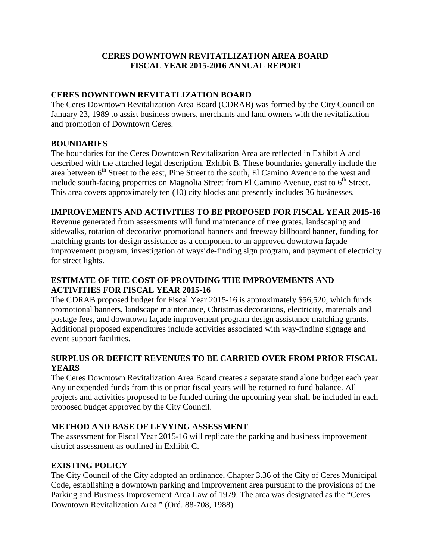#### **CERES DOWNTOWN REVITATLIZATION AREA BOARD FISCAL YEAR 2015-2016 ANNUAL REPORT**

#### **CERES DOWNTOWN REVITATLIZATION BOARD**

The Ceres Downtown Revitalization Area Board (CDRAB) was formed by the City Council on January 23, 1989 to assist business owners, merchants and land owners with the revitalization and promotion of Downtown Ceres.

#### **BOUNDARIES**

The boundaries for the Ceres Downtown Revitalization Area are reflected in Exhibit A and described with the attached legal description, Exhibit B. These boundaries generally include the area between 6<sup>th</sup> Street to the east, Pine Street to the south, El Camino Avenue to the west and include south-facing properties on Magnolia Street from El Camino Avenue, east to  $6<sup>th</sup>$  Street. This area covers approximately ten (10) city blocks and presently includes 36 businesses.

#### **IMPROVEMENTS AND ACTIVITIES TO BE PROPOSED FOR FISCAL YEAR 2015-16**

Revenue generated from assessments will fund maintenance of tree grates, landscaping and sidewalks, rotation of decorative promotional banners and freeway billboard banner, funding for matching grants for design assistance as a component to an approved downtown façade improvement program, investigation of wayside-finding sign program, and payment of electricity for street lights.

#### **ESTIMATE OF THE COST OF PROVIDING THE IMPROVEMENTS AND ACTIVITIES FOR FISCAL YEAR 2015-16**

The CDRAB proposed budget for Fiscal Year 2015-16 is approximately \$56,520, which funds promotional banners, landscape maintenance, Christmas decorations, electricity, materials and postage fees, and downtown façade improvement program design assistance matching grants. Additional proposed expenditures include activities associated with way-finding signage and event support facilities.

#### **SURPLUS OR DEFICIT REVENUES TO BE CARRIED OVER FROM PRIOR FISCAL YEARS**

The Ceres Downtown Revitalization Area Board creates a separate stand alone budget each year. Any unexpended funds from this or prior fiscal years will be returned to fund balance. All projects and activities proposed to be funded during the upcoming year shall be included in each proposed budget approved by the City Council.

#### **METHOD AND BASE OF LEVYING ASSESSMENT**

The assessment for Fiscal Year 2015-16 will replicate the parking and business improvement district assessment as outlined in Exhibit C.

#### **EXISTING POLICY**

The City Council of the City adopted an ordinance, Chapter 3.36 of the City of Ceres Municipal Code, establishing a downtown parking and improvement area pursuant to the provisions of the Parking and Business Improvement Area Law of 1979. The area was designated as the "Ceres Downtown Revitalization Area." (Ord. 88-708, 1988)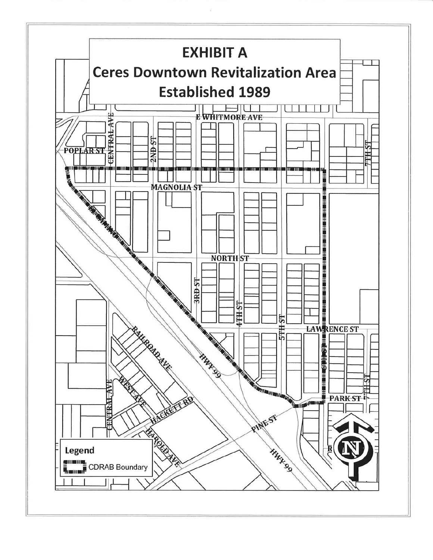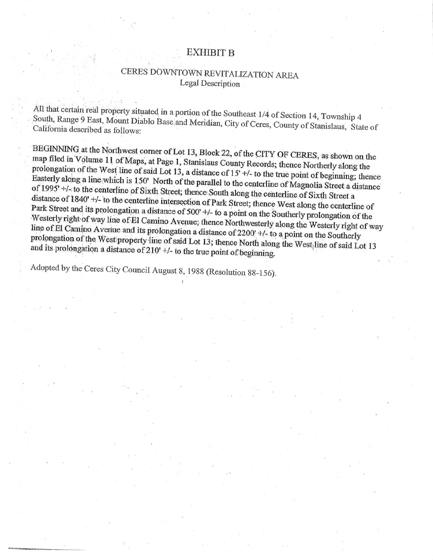## **EXHIBIT B**

# CERES DOWNTOWN REVITALIZATION AREA Legal Description

All that certain real property situated in a portion of the Southeast 1/4 of Section 14, Township 4 South, Range 9 East, Mount Diablo Base and Meridian, City of Ceres, County of Stanislaus, State of California described as follows:

BEGINNING at the Northwest corner of Lot 13, Block 22, of the CITY OF CERES, as shown on the map filed in Volume 11 of Maps, at Page 1, Stanislaus County Records; thence Northerly along the prolongation of the West line of said Lot 13, a distance of  $15'$ +/- to the true point of beginning; thence Easterly along a line which is 150' North of the parallel to the centerline of Magnolia Street a distance of 1995' +/- to the centerline of Sixth Street; thence South along the centerline of Sixth Street a distance of 1840' +/- to the centerline intersection of Park Street; thence West along the centerline of Park Street and its prolongation a distance of 500' +/- to a point on the Southerly prolongation of the Westerly right of way line of El Camino Avenue; thence Northwesterly along the Westerly right of way line of El Camino Avenue and its prolongation a distance of 2200' +/- to a point on the Southerly prolongation of the West property line of said Lot 13; thence North along the West line of said Lot 13 and its prolongation a distance of  $210'$  +/- to the true point of beginning.

Adopted by the Ceres City Council August 8, 1988 (Resolution 88-156).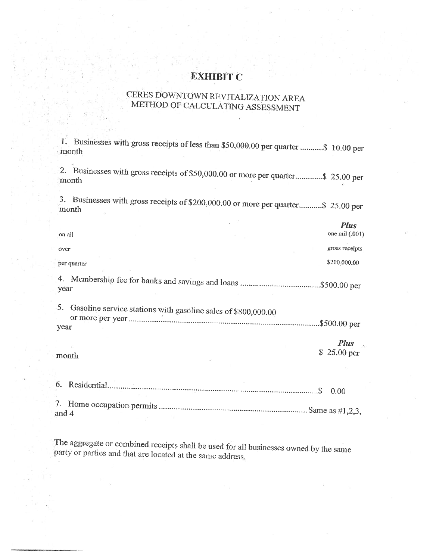## **EXHIBIT C**

# CERES DOWNTOWN REVITALIZATION AREA METHOD OF CALCULATING ASSESSMENT

1. Businesses with gross receipts of less than \$50,000.00 per quarter ........... \$ 10.00 per month

2. Businesses with gross receipts of \$50,000.00 or more per quarter.............. \$25.00 per month

3. Businesses with gross receipts of \$200,000.00 or more per quarter...........\$ 25.00 per month

n x

|            | on all                                                        | <b>Fius</b><br>one mil $(.001)$ |
|------------|---------------------------------------------------------------|---------------------------------|
| over       |                                                               | gross receipts                  |
|            | per quarter                                                   | \$200,000.00                    |
| year       |                                                               |                                 |
| 5.<br>year | Gasoline service stations with gasoline sales of \$800,000.00 | .\$500.00 per                   |
|            | month                                                         | <b>Plus</b><br>\$25.00 per      |
| 6.         | Residential.                                                  | 0.00                            |

and 4

The aggregate or combined receipts shall be used for all businesses owned by the same party or parties and that are located at the same address.